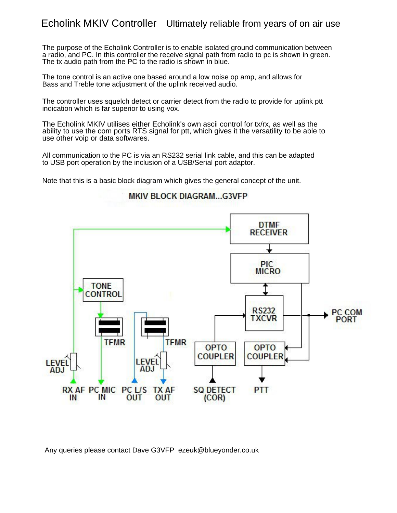## Echolink MKIV Controller Ultimately reliable from years of on air use

The purpose of the Echolink Controller is to enable isolated ground communication between a radio, and PC. In this controller the receive signal path from radio to pc is shown in green. The tx audio path from the PC to the radio is shown in blue.

The tone control is an active one based around a low noise op amp, and allows for Bass and Treble tone adjustment of the uplink received audio.

The controller uses squelch detect or carrier detect from the radio to provide for uplink ptt indication which is far superior to using vox.

The Echolink MKIV utilises either Echolink's own ascii control for tx/rx, as well as the ability to use the com ports RTS signal for ptt, which gives it the versatility to be able to use other voip or data softwares.

All communication to the PC is via an RS232 serial link cable, and this can be adapted to USB port operation by the inclusion of a USB/Serial port adaptor.

Note that this is a basic block diagram which gives the general concept of the unit.



MKIV BLOCK DIAGRAM...G3VFP

Any queries please contact Dave G3VFP ezeuk@blueyonder.co.uk